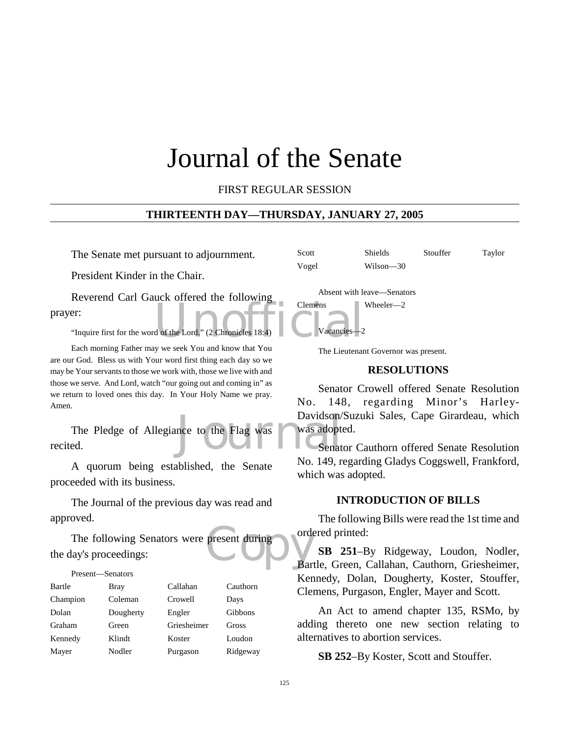### Journal of the Senate

FIRST REGULAR SESSION

#### **THIRTEENTH DAY—THURSDAY, JANUARY 27, 2005**

The Senate met pursuant to adjournment.

President Kinder in the Chair.

d of the Lord." (2 Chronicles 18:4) Reverend Carl Gauck offered the following prayer:

"Inquire first for the word of the Lord." (2 Chronicles 18:4)

Each morning Father may we seek You and know that You are our God. Bless us with Your word first thing each day so we may be Your servants to those we work with, those we live with and those we serve. And Lord, watch "our going out and coming in" as we return to loved ones this day. In Your Holy Name we pray. Amen.

Davidson/<br>nce to the Flag was amount Senat The Pledge of Allegiance to the Flag was recited.

A quorum being established, the Senate proceeded with its business.

The Journal of the previous day was read and approved.

present during borde The following Senators were present during the day's proceedings:

Present—Senators Bartle Bray Callahan Cauthorn Champion Coleman Crowell Days Dolan Dougherty Engler Gibbons Graham Green Griesheimer Gross Kennedy Klindt Koster Loudon

Mayer Nodler Purgason Ridgeway

The Lieutenant Governor was present.

Vogel Wilson—30

Clemens Wheeler—2

Vacancies-

Absent with leave—Senators

#### **RESOLUTIONS**

Scott Shields Stouffer Taylor

Senator Crowell offered Senate Resolution No. 148, regarding Minor's Harley-Davidson/Suzuki Sales, Cape Girardeau, which was adopted.

Senator Cauthorn offered Senate Resolution No. 149, regarding Gladys Coggswell, Frankford, which was adopted.

#### **INTRODUCTION OF BILLS**

The following Bills were read the 1st time and ordered printed:

**SB 251**–By Ridgeway, Loudon, Nodler, Bartle, Green, Callahan, Cauthorn, Griesheimer, Kennedy, Dolan, Dougherty, Koster, Stouffer, Clemens, Purgason, Engler, Mayer and Scott.

An Act to amend chapter 135, RSMo, by adding thereto one new section relating to alternatives to abortion services.

**SB 252**–By Koster, Scott and Stouffer.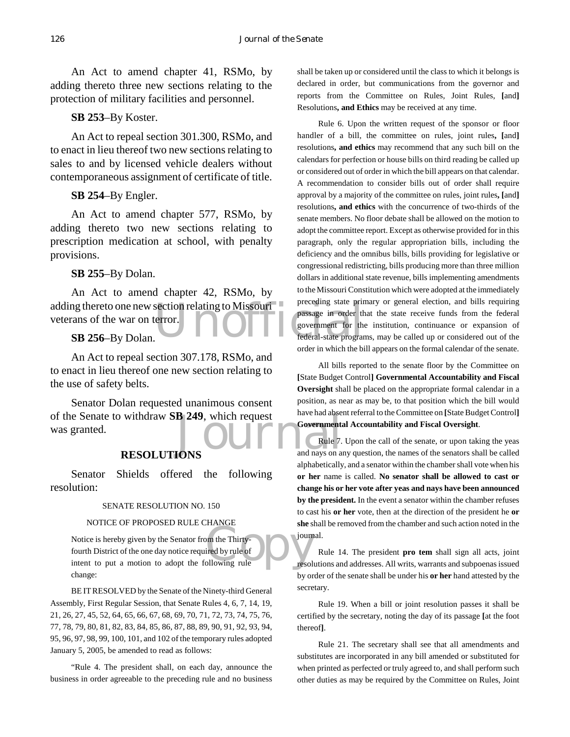An Act to amend chapter 41, RSMo, by adding thereto three new sections relating to the protection of military facilities and personnel.

#### **SB 253**–By Koster.

An Act to repeal section 301.300, RSMo, and to enact in lieu thereof two new sections relating to sales to and by licensed vehicle dealers without contemporaneous assignment of certificate of title.

#### **SB 254**–By Engler.

An Act to amend chapter 577, RSMo, by adding thereto two new sections relating to prescription medication at school, with penalty provisions.

#### **SB 255**–By Dolan.

adding thereto one new section relating to Missouri preceding state printing to the various preceding state printing to the printing passage in order the printing of the various content of the printing of  $\bf{SB}$  256-By Do An Act to amend chapter 42, RSMo, by veterans of the war on terror.

#### **SB 256**–By Dolan.

An Act to repeal section 307.178, RSMo, and to enact in lieu thereof one new section relating to the use of safety belts.

of the Senate to withdraw **SB 249**, which request<br>
was granted.<br> **RESOLUTIONS** Senator Dolan requested unanimous consent was granted.

#### **RESOLUTIONS**

Senator Shields offered the following resolution:

#### SENATE RESOLUTION NO. 150

#### NOTICE OF PROPOSED RULE CHANGE

om the Thirty-<br>
ired by rule of<br>
ollowing rule<br>
resol Notice is hereby given by the Senator from the Thirtyfourth District of the one day notice required by rule of intent to put a motion to adopt the following rule change:

BE IT RESOLVED by the Senate of the Ninety-third General Assembly, First Regular Session, that Senate Rules 4, 6, 7, 14, 19, 21, 26, 27, 45, 52, 64, 65, 66, 67, 68, 69, 70, 71, 72, 73, 74, 75, 76, 77, 78, 79, 80, 81, 82, 83, 84, 85, 86, 87, 88, 89, 90, 91, 92, 93, 94, 95, 96, 97, 98, 99, 100, 101, and 102 of the temporary rules adopted January 5, 2005, be amended to read as follows:

"Rule 4. The president shall, on each day, announce the business in order agreeable to the preceding rule and no business shall be taken up or considered until the class to which it belongs is declared in order, but communications from the governor and reports from the Committee on Rules, Joint Rules, **[**and**]** Resolutions**, and Ethics** may be received at any time.

Rule 6. Upon the written request of the sponsor or floor handler of a bill, the committee on rules, joint rules**, [**and**]** resolutions**, and ethics** may recommend that any such bill on the calendars for perfection or house bills on third reading be called up or considered out of order in which the bill appears on that calendar. A recommendation to consider bills out of order shall require approval by a majority of the committee on rules, joint rules**, [**and**]** resolutions**, and ethics** with the concurrence of two-thirds of the senate members. No floor debate shall be allowed on the motion to adopt the committee report. Except as otherwise provided for in this paragraph, only the regular appropriation bills, including the deficiency and the omnibus bills, bills providing for legislative or congressional redistricting, bills producing more than three million dollars in additional state revenue, bills implementing amendments to the Missouri Constitution which were adopted at the immediately preceding state primary or general election, and bills requiring passage in order that the state receive funds from the federal government for the institution, continuance or expansion of federal-state programs, may be called up or considered out of the order in which the bill appears on the formal calendar of the senate.

All bills reported to the senate floor by the Committee on **[**State Budget Control**] Governmental Accountability and Fiscal Oversight** shall be placed on the appropriate formal calendar in a position, as near as may be, to that position which the bill would have had absent referral to the Committee on **[**State Budget Control**] Governmental Accountability and Fiscal Oversight**.

Rule 7. Upon the call of the senate, or upon taking the yeas and nays on any question, the names of the senators shall be called alphabetically, and a senator within the chamber shall vote when his **or her** name is called. **No senator shall be allowed to cast or change his or her vote after yeas and nays have been announced by the president.** In the event a senator within the chamber refuses to cast his **or her** vote, then at the direction of the president he **or she** shall be removed from the chamber and such action noted in the journal.

Rule 14. The president **pro tem** shall sign all acts, joint resolutions and addresses. All writs, warrants and subpoenas issued by order of the senate shall be under his **or her** hand attested by the secretary.

Rule 19. When a bill or joint resolution passes it shall be certified by the secretary, noting the day of its passage **[**at the foot thereof**]**.

Rule 21. The secretary shall see that all amendments and substitutes are incorporated in any bill amended or substituted for when printed as perfected or truly agreed to, and shall perform such other duties as may be required by the Committee on Rules, Joint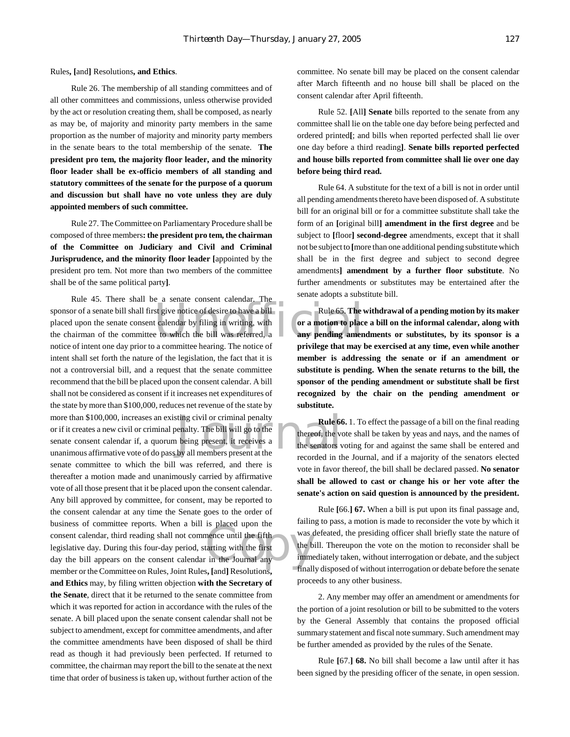Rules**, [**and**]** Resolutions**, and Ethics**.

Rule 26. The membership of all standing committees and of all other committees and commissions, unless otherwise provided by the act or resolution creating them, shall be composed, as nearly as may be, of majority and minority party members in the same proportion as the number of majority and minority party members in the senate bears to the total membership of the senate. **The president pro tem, the majority floor leader, and the minority floor leader shall be ex-officio members of all standing and statutory committees of the senate for the purpose of a quorum and discussion but shall have no vote unless they are duly appointed members of such committee.**

Rule 27. The Committee on Parliamentary Procedure shall be composed of three members**: the president pro tem, the chairman of the Committee on Judiciary and Civil and Criminal Jurisprudence, and the minority floor leader [**appointed by the president pro tem. Not more than two members of the committee shall be of the same political party**]**.

Sponsor of a senate bill shall first give notice of desire to have a bill<br>placed upon the senate consent calendar by filing in writing, with<br>the chairman of the committee to which the bill was referred, a<br>notice of intent sting civil or criminal penalty<br>
enalty. The bill will go to the<br>
being present, it receives a<br>
by all members present at the<br>
recorded in the<br>
recorded in the Solution<br>
Solution the first part of the burnal any<br>
Cournal any<br>
Cournal any<br>
Cournal any<br>
Cournal any<br>
Cournal any<br>
Cournal any Rule 45. There shall be a senate consent calendar. The placed upon the senate consent calendar by filing in writing, with the chairman of the committee to which the bill was referred, a notice of intent one day prior to a committee hearing. The notice of intent shall set forth the nature of the legislation, the fact that it is not a controversial bill, and a request that the senate committee recommend that the bill be placed upon the consent calendar. A bill shall not be considered as consent if it increases net expenditures of the state by more than \$100,000, reduces net revenue of the state by more than \$100,000, increases an existing civil or criminal penalty or if it creates a new civil or criminal penalty. The bill will go to the senate consent calendar if, a quorum being present, it receives a unanimous affirmative vote of do pass by all members present at the senate committee to which the bill was referred, and there is thereafter a motion made and unanimously carried by affirmative vote of all those present that it be placed upon the consent calendar. Any bill approved by committee, for consent, may be reported to the consent calendar at any time the Senate goes to the order of business of committee reports. When a bill is placed upon the consent calendar, third reading shall not commence until the fifth legislative day. During this four-day period, starting with the first day the bill appears on the consent calendar in the Journal any member or the Committee on Rules, Joint Rules**, [**and**]** Resolutions**, and Ethics** may, by filing written objection **with the Secretary of the Senate**, direct that it be returned to the senate committee from which it was reported for action in accordance with the rules of the senate. A bill placed upon the senate consent calendar shall not be subject to amendment, except for committee amendments, and after the committee amendments have been disposed of shall be third read as though it had previously been perfected. If returned to committee, the chairman may report the bill to the senate at the next time that order of business is taken up, without further action of the

committee. No senate bill may be placed on the consent calendar after March fifteenth and no house bill shall be placed on the consent calendar after April fifteenth.

Rule 52. **[**All**] Senate** bills reported to the senate from any committee shall lie on the table one day before being perfected and ordered printed**[**; and bills when reported perfected shall lie over one day before a third reading**]**. **Senate bills reported perfected and house bills reported from committee shall lie over one day before being third read.**

Rule 64. A substitute for the text of a bill is not in order until all pending amendments thereto have been disposed of. A substitute bill for an original bill or for a committee substitute shall take the form of an **[**original bill**] amendment in the first degree** and be subject to **[**floor**] second-degree** amendments, except that it shall not be subject to **[**more than one additional pending substitute which shall be in the first degree and subject to second degree amendments**] amendment by a further floor substitute**. No further amendments or substitutes may be entertained after the senate adopts a substitute bill.

Rule 65. **The withdrawal of a pending motion by its maker or a motion to place a bill on the informal calendar, along with any pending amendments or substitutes, by its sponsor is a privilege that may be exercised at any time, even while another member is addressing the senate or if an amendment or substitute is pending. When the senate returns to the bill, the sponsor of the pending amendment or substitute shall be first recognized by the chair on the pending amendment or substitute.**

**Rule 66.** 1. To effect the passage of a bill on the final reading thereof, the vote shall be taken by yeas and nays, and the names of the senators voting for and against the same shall be entered and recorded in the Journal, and if a majority of the senators elected vote in favor thereof, the bill shall be declared passed. **No senator shall be allowed to cast or change his or her vote after the senate's action on said question is announced by the president.**

Rule **[**66.**] 67.** When a bill is put upon its final passage and, failing to pass, a motion is made to reconsider the vote by which it was defeated, the presiding officer shall briefly state the nature of the bill. Thereupon the vote on the motion to reconsider shall be immediately taken, without interrogation or debate, and the subject finally disposed of without interrogation or debate before the senate proceeds to any other business.

2. Any member may offer an amendment or amendments for the portion of a joint resolution or bill to be submitted to the voters by the General Assembly that contains the proposed official summary statement and fiscal note summary. Such amendment may be further amended as provided by the rules of the Senate.

Rule **[**67.**] 68.** No bill shall become a law until after it has been signed by the presiding officer of the senate, in open session.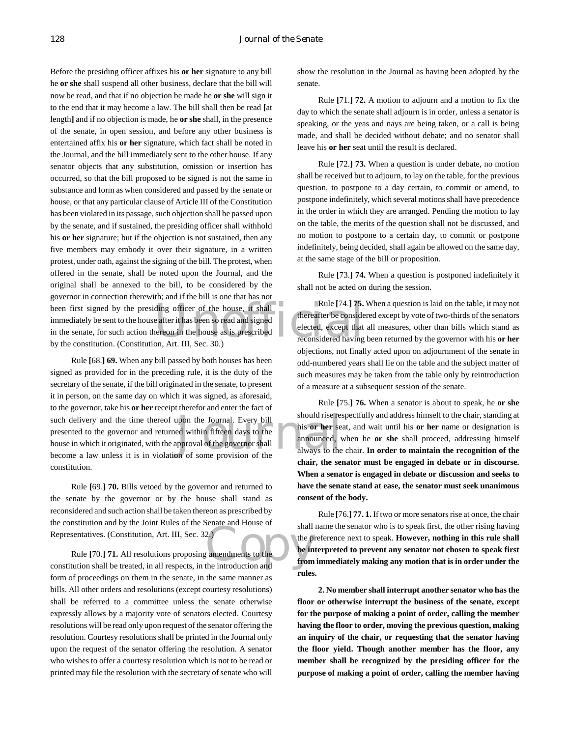been first signed by the presiding officer of the house, it shall<br>
immediately be sent to the house after it has been so read and signed<br>
in the senate, for such action thereon in the house as is prescribed<br>
by the constit Before the presiding officer affixes his **or her** signature to any bill he **or she** shall suspend all other business, declare that the bill will now be read, and that if no objection be made he **or she** will sign it to the end that it may become a law. The bill shall then be read **[**at length**]** and if no objection is made, he **or she** shall, in the presence of the senate, in open session, and before any other business is entertained affix his **or her** signature, which fact shall be noted in the Journal, and the bill immediately sent to the other house. If any senator objects that any substitution, omission or insertion has occurred, so that the bill proposed to be signed is not the same in substance and form as when considered and passed by the senate or house, or that any particular clause of Article III of the Constitution has been violated in its passage, such objection shall be passed upon by the senate, and if sustained, the presiding officer shall withhold his **or her** signature; but if the objection is not sustained, then any five members may embody it over their signature, in a written protest, under oath, against the signing of the bill. The protest, when offered in the senate, shall be noted upon the Journal, and the original shall be annexed to the bill, to be considered by the governor in connection therewith; and if the bill is one that has not immediately be sent to the house after it has been so read and signed in the senate, for such action thereon in the house as is prescribed by the constitution. (Constitution, Art. III, Sec. 30.)

about the Journal. Every bill<br>
Every bill<br>
this **or her** sea announced, v<br>
physical of the governor shall<br>
in of some provision of the always to the Rule **[**68.**] 69.** When any bill passed by both houses has been signed as provided for in the preceding rule, it is the duty of the secretary of the senate, if the bill originated in the senate, to present it in person, on the same day on which it was signed, as aforesaid, to the governor, take his **or her** receipt therefor and enter the fact of such delivery and the time thereof upon the Journal. Every bill presented to the governor and returned within fifteen days to the house in which it originated, with the approval of the governor shall become a law unless it is in violation of some provision of the constitution.

Rule **[**69.**] 70.** Bills vetoed by the governor and returned to the senate by the governor or by the house shall stand as reconsidered and such action shall be taken thereon as prescribed by the constitution and by the Joint Rules of the Senate and House of Representatives. (Constitution, Art. III, Sec. 32.)

Representatives. (Constitution, Art. III, Sec. 32.)<br>
Rule [70.] 71. All resolutions proposing amendments to the the introduction shall be treated, in all respects, in the introduction and Rule **[**70.**] 71.** All resolutions proposing amendments to the form of proceedings on them in the senate, in the same manner as bills. All other orders and resolutions (except courtesy resolutions) shall be referred to a committee unless the senate otherwise expressly allows by a majority vote of senators elected. Courtesy resolutions will be read only upon request of the senator offering the resolution. Courtesy resolutions shall be printed in the Journal only upon the request of the senator offering the resolution. A senator who wishes to offer a courtesy resolution which is not to be read or printed may file the resolution with the secretary of senate who will

show the resolution in the Journal as having been adopted by the senate.

Rule **[**71.**] 72.** A motion to adjourn and a motion to fix the day to which the senate shall adjourn is in order, unless a senator is speaking, or the yeas and nays are being taken, or a call is being made, and shall be decided without debate; and no senator shall leave his **or her** seat until the result is declared.

Rule **[**72.**] 73.** When a question is under debate, no motion shall be received but to adjourn, to lay on the table, for the previous question, to postpone to a day certain, to commit or amend, to postpone indefinitely, which several motions shall have precedence in the order in which they are arranged. Pending the motion to lay on the table, the merits of the question shall not be discussed, and no motion to postpone to a certain day, to commit or postpone indefinitely, being decided, shall again be allowed on the same day, at the same stage of the bill or proposition.

Rule **[**73.**] 74.** When a question is postponed indefinitely it shall not be acted on during the session.

Rule **[**74.**] 75.** When a question is laid on the table, it may not thereafter be considered except by vote of two-thirds of the senators elected, except that all measures, other than bills which stand as reconsidered having been returned by the governor with his **or her** objections, not finally acted upon on adjournment of the senate in odd-numbered years shall lie on the table and the subject matter of such measures may be taken from the table only by reintroduction of a measure at a subsequent session of the senate.

Rule **[**75.**] 76.** When a senator is about to speak, he **or she** should rise respectfully and address himself to the chair, standing at his **or her** seat, and wait until his **or her** name or designation is announced, when he **or she** shall proceed, addressing himself always to the chair. **In order to maintain the recognition of the chair, the senator must be engaged in debate or in discourse. When a senator is engaged in debate or discussion and seeks to have the senate stand at ease, the senator must seek unanimous consent of the body.**

Rule **[**76.**] 77. 1.** If two or more senators rise at once, the chair shall name the senator who is to speak first, the other rising having the preference next to speak. **However, nothing in this rule shall be interpreted to prevent any senator not chosen to speak first from immediately making any motion that is in order under the rules.**

**2. No member shall interrupt another senator who has the floor or otherwise interrupt the business of the senate, except for the purpose of making a point of order, calling the member having the floor to order, moving the previous question, making an inquiry of the chair, or requesting that the senator having the floor yield. Though another member has the floor, any member shall be recognized by the presiding officer for the purpose of making a point of order, calling the member having**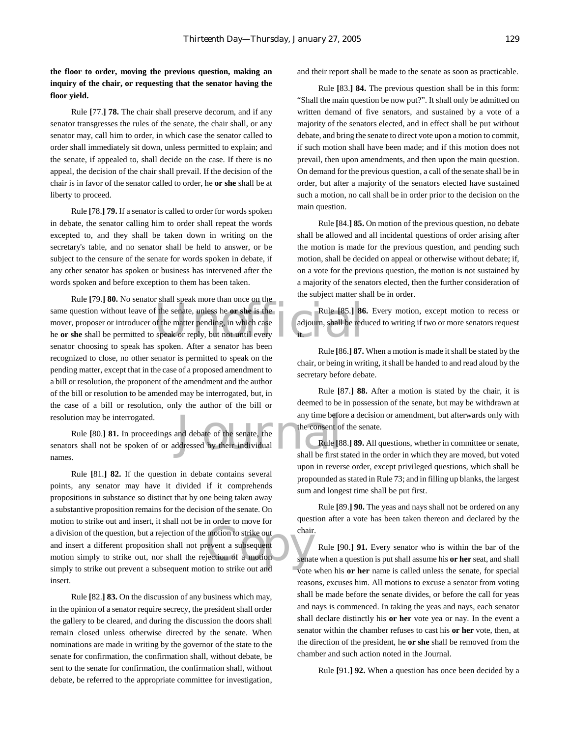**the floor to order, moving the previous question, making an inquiry of the chair, or requesting that the senator having the floor yield.**

Rule **[**77.**] 78.** The chair shall preserve decorum, and if any senator transgresses the rules of the senate, the chair shall, or any senator may, call him to order, in which case the senator called to order shall immediately sit down, unless permitted to explain; and the senate, if appealed to, shall decide on the case. If there is no appeal, the decision of the chair shall prevail. If the decision of the chair is in favor of the senator called to order, he **or she** shall be at liberty to proceed.

Rule **[**78.**] 79.** If a senator is called to order for words spoken in debate, the senator calling him to order shall repeat the words excepted to, and they shall be taken down in writing on the secretary's table, and no senator shall be held to answer, or be subject to the censure of the senate for words spoken in debate, if any other senator has spoken or business has intervened after the words spoken and before exception to them has been taken.

Figure 1. Second the senate, unless he or she is the<br>of the matter pending, in which case<br>speak or reply, but not until every<br>speak or reply, but not until every Rule **[**79.**] 80.** No senator shall speak more than once on the same question without leave of the senate, unless he **or she** is the mover, proposer or introducer of the matter pending, in which case he **or she** shall be permitted to speak or reply, but not until every senator choosing to speak has spoken. After a senator has been recognized to close, no other senator is permitted to speak on the pending matter, except that in the case of a proposed amendment to a bill or resolution, the proponent of the amendment and the author of the bill or resolution to be amended may be interrogated, but, in the case of a bill or resolution, only the author of the bill or resolution may be interrogated.

any time before<br>and debate of the senate, the<br>ddressed by their individual<br>shall be first s Rule **[**80.**] 81.** In proceedings and debate of the senate, the senators shall not be spoken of or addressed by their individual names.

a division of the question, but a rejection of the motion to strike out<br>
and insert a different proposition shall not prevent a subsequent<br>
motion simply to strike out prevent a subsequent motion to strike out and<br>
simply Rule **[**81.**] 82.** If the question in debate contains several points, any senator may have it divided if it comprehends propositions in substance so distinct that by one being taken away a substantive proposition remains for the decision of the senate. On motion to strike out and insert, it shall not be in order to move for and insert a different proposition shall not prevent a subsequent motion simply to strike out, nor shall the rejection of a motion simply to strike out prevent a subsequent motion to strike out and insert.

Rule **[**82.**] 83.** On the discussion of any business which may, in the opinion of a senator require secrecy, the president shall order the gallery to be cleared, and during the discussion the doors shall remain closed unless otherwise directed by the senate. When nominations are made in writing by the governor of the state to the senate for confirmation, the confirmation shall, without debate, be sent to the senate for confirmation, the confirmation shall, without debate, be referred to the appropriate committee for investigation, and their report shall be made to the senate as soon as practicable.

Rule **[**83.**] 84.** The previous question shall be in this form: "Shall the main question be now put?". It shall only be admitted on written demand of five senators, and sustained by a vote of a majority of the senators elected, and in effect shall be put without debate, and bring the senate to direct vote upon a motion to commit, if such motion shall have been made; and if this motion does not prevail, then upon amendments, and then upon the main question. On demand for the previous question, a call of the senate shall be in order, but after a majority of the senators elected have sustained such a motion, no call shall be in order prior to the decision on the main question.

Rule **[**84.**] 85.** On motion of the previous question, no debate shall be allowed and all incidental questions of order arising after the motion is made for the previous question, and pending such motion, shall be decided on appeal or otherwise without debate; if, on a vote for the previous question, the motion is not sustained by a majority of the senators elected, then the further consideration of the subject matter shall be in order.

Rule **[**85.**] 86.** Every motion, except motion to recess or adjourn, shall be reduced to writing if two or more senators request it.

Rule **[**86.**] 87.** When a motion is made it shall be stated by the chair, or being in writing, it shall be handed to and read aloud by the secretary before debate.

Rule **[**87.**] 88.** After a motion is stated by the chair, it is deemed to be in possession of the senate, but may be withdrawn at any time before a decision or amendment, but afterwards only with the consent of the senate.

Rule **[**88.**] 89.** All questions, whether in committee or senate, shall be first stated in the order in which they are moved, but voted upon in reverse order, except privileged questions, which shall be propounded as stated in Rule 73; and in filling up blanks, the largest sum and longest time shall be put first.

Rule **[**89.**] 90.** The yeas and nays shall not be ordered on any question after a vote has been taken thereon and declared by the chair.

Rule **[**90.**] 91.** Every senator who is within the bar of the senate when a question is put shall assume his **or her** seat, and shall vote when his **or her** name is called unless the senate, for special reasons, excuses him. All motions to excuse a senator from voting shall be made before the senate divides, or before the call for yeas and nays is commenced. In taking the yeas and nays, each senator shall declare distinctly his **or her** vote yea or nay. In the event a senator within the chamber refuses to cast his **or her** vote, then, at the direction of the president, he **or she** shall be removed from the chamber and such action noted in the Journal.

Rule **[**91.**] 92.** When a question has once been decided by a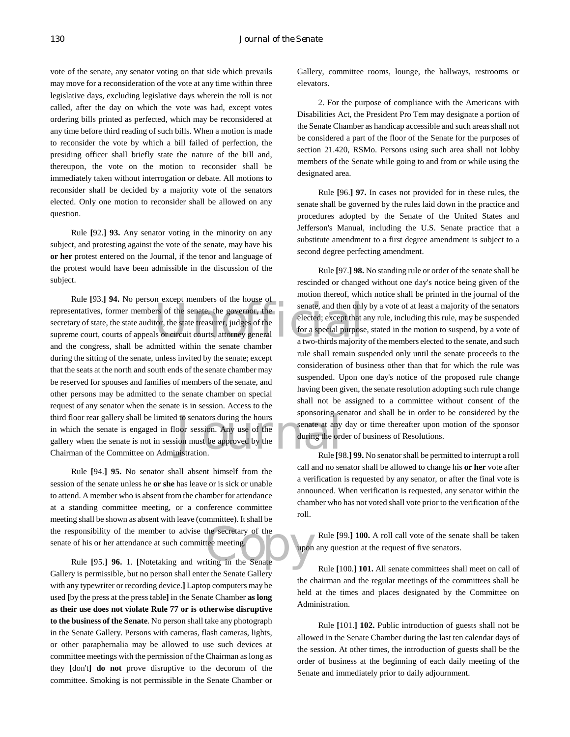vote of the senate, any senator voting on that side which prevails may move for a reconsideration of the vote at any time within three legislative days, excluding legislative days wherein the roll is not called, after the day on which the vote was had, except votes ordering bills printed as perfected, which may be reconsidered at any time before third reading of such bills. When a motion is made to reconsider the vote by which a bill failed of perfection, the presiding officer shall briefly state the nature of the bill and, thereupon, the vote on the motion to reconsider shall be immediately taken without interrogation or debate. All motions to reconsider shall be decided by a majority vote of the senators elected. Only one motion to reconsider shall be allowed on any question.

Rule **[**92.**] 93.** Any senator voting in the minority on any subject, and protesting against the vote of the senate, may have his **or her** protest entered on the Journal, if the tenor and language of the protest would have been admissible in the discussion of the subject.

representatives, former members of the senate, the governor, the senate, and then only<br>secretary of state, the state auditor, the state treasurer, judges of the suppreme court, courts of appeals or circuit courts, attorney If to senators during the hours<br>oor session. Any use of the senate at any<br>ion must be approved by the during the order of the senate of the during the order of the senate of the senate of the senate of the senate of the se Rule **[**93.**] 94.** No person except members of the house of secretary of state, the state auditor, the state treasurer, judges of the supreme court, courts of appeals or circuit courts, attorney general and the congress, shall be admitted within the senate chamber during the sitting of the senate, unless invited by the senate; except that the seats at the north and south ends of the senate chamber may be reserved for spouses and families of members of the senate, and other persons may be admitted to the senate chamber on special request of any senator when the senate is in session. Access to the third floor rear gallery shall be limited to senators during the hours in which the senate is engaged in floor session. Any use of the gallery when the senate is not in session must be approved by the Chairman of the Committee on Administration.

sponsibility of the member to advise the secretary of the<br>
of his or her attendance at such committee meeting.<br>
Rule [95.] **96.** 1. [Notetaking and writing in the Senate Rule **[**94.**] 95.** No senator shall absent himself from the session of the senate unless he **or she** has leave or is sick or unable to attend. A member who is absent from the chamber for attendance at a standing committee meeting, or a conference committee meeting shall be shown as absent with leave (committee). It shall be the responsibility of the member to advise the secretary of the senate of his or her attendance at such committee meeting.

Gallery is permissible, but no person shall enter the Senate Gallery with any typewriter or recording device.**]** Laptop computers may be used **[**by the press at the press table**]** in the Senate Chamber **as long as their use does not violate Rule 77 or is otherwise disruptive to the business of the Senate**. No person shall take any photograph in the Senate Gallery. Persons with cameras, flash cameras, lights, or other paraphernalia may be allowed to use such devices at committee meetings with the permission of the Chairman as long as they **[**don't**] do not** prove disruptive to the decorum of the committee. Smoking is not permissible in the Senate Chamber or

Gallery, committee rooms, lounge, the hallways, restrooms or elevators.

2. For the purpose of compliance with the Americans with Disabilities Act, the President Pro Tem may designate a portion of the Senate Chamber as handicap accessible and such areas shall not be considered a part of the floor of the Senate for the purposes of section 21.420, RSMo. Persons using such area shall not lobby members of the Senate while going to and from or while using the designated area.

Rule **[**96.**] 97.** In cases not provided for in these rules, the senate shall be governed by the rules laid down in the practice and procedures adopted by the Senate of the United States and Jefferson's Manual, including the U.S. Senate practice that a substitute amendment to a first degree amendment is subject to a second degree perfecting amendment.

Rule **[**97.**] 98.** No standing rule or order of the senate shall be rescinded or changed without one day's notice being given of the motion thereof, which notice shall be printed in the journal of the senate, and then only by a vote of at least a majority of the senators elected; except that any rule, including this rule, may be suspended for a special purpose, stated in the motion to suspend, by a vote of a two-thirds majority of the members elected to the senate, and such rule shall remain suspended only until the senate proceeds to the consideration of business other than that for which the rule was suspended. Upon one day's notice of the proposed rule change having been given, the senate resolution adopting such rule change shall not be assigned to a committee without consent of the sponsoring senator and shall be in order to be considered by the senate at any day or time thereafter upon motion of the sponsor during the order of business of Resolutions.

Rule **[**98.**] 99.** No senator shall be permitted to interrupt a roll call and no senator shall be allowed to change his **or her** vote after a verification is requested by any senator, or after the final vote is announced. When verification is requested, any senator within the chamber who has not voted shall vote prior to the verification of the roll.

Rule **[**99.**] 100.** A roll call vote of the senate shall be taken upon any question at the request of five senators.

Rule **[**100.**] 101.** All senate committees shall meet on call of the chairman and the regular meetings of the committees shall be held at the times and places designated by the Committee on Administration.

Rule **[**101.**] 102.** Public introduction of guests shall not be allowed in the Senate Chamber during the last ten calendar days of the session. At other times, the introduction of guests shall be the order of business at the beginning of each daily meeting of the Senate and immediately prior to daily adjournment.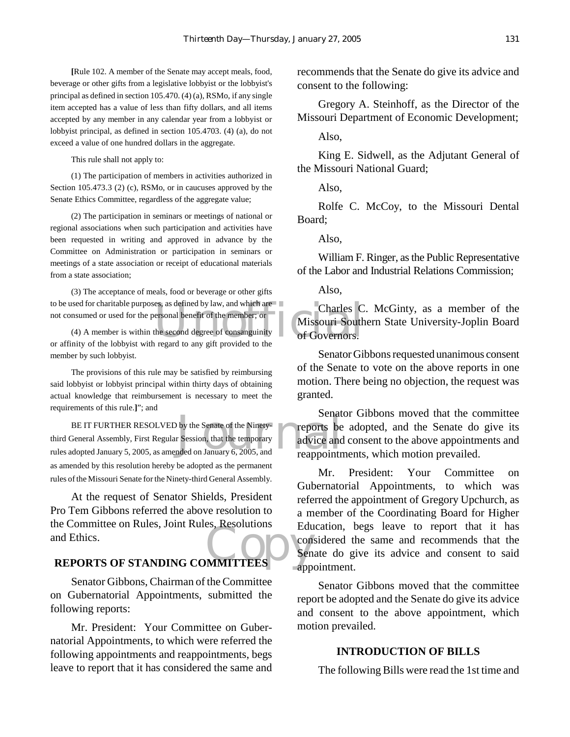**[**Rule 102. A member of the Senate may accept meals, food, beverage or other gifts from a legislative lobbyist or the lobbyist's principal as defined in section 105.470. (4) (a), RSMo, if any single item accepted has a value of less than fifty dollars, and all items accepted by any member in any calendar year from a lobbyist or lobbyist principal, as defined in section 105.4703. (4) (a), do not exceed a value of one hundred dollars in the aggregate.

This rule shall not apply to:

(1) The participation of members in activities authorized in Section 105.473.3 (2) (c), RSMo, or in caucuses approved by the Senate Ethics Committee, regardless of the aggregate value;

(2) The participation in seminars or meetings of national or regional associations when such participation and activities have been requested in writing and approved in advance by the Committee on Administration or participation in seminars or meetings of a state association or receipt of educational materials from a state association;

to be used for charitable purposes, as defined by law, and which are<br>
not consumed or used for the personal benefit of the member, or –<br>
(4) A member is within the second degree of consanguinity<br>
or Governors.<br>
or affinity (3) The acceptance of meals, food or beverage or other gifts not consumed or used for the personal benefit of the member; or

(4) A member is within the second degree of consanguinity or affinity of the lobbyist with regard to any gift provided to the member by such lobbyist.

The provisions of this rule may be satisfied by reimbursing said lobbyist or lobbyist principal within thirty days of obtaining actual knowledge that reimbursement is necessary to meet the requirements of this rule.**]**"; and

Senate of the Ninety<br>
reports be<br>
reports be<br>
resolvice and<br>
reappoint reappoint BE IT FURTHER RESOLVED by the Senate of the Ninetythird General Assembly, First Regular Session, that the temporary rules adopted January 5, 2005, as amended on January 6, 2005, and as amended by this resolution hereby be adopted as the permanent rules of the Missouri Senate for the Ninety-third General Assembly.

referent Committee on Rules, Joint Rules, Resolutions<br>
REPORTS OF STANDING COMMITTEES At the request of Senator Shields, President Pro Tem Gibbons referred the above resolution to the Committee on Rules, Joint Rules, Resolutions and Ethics.

Senator Gibbons, Chairman of the Committee on Gubernatorial Appointments, submitted the following reports:

Mr. President: Your Committee on Gubernatorial Appointments, to which were referred the following appointments and reappointments, begs leave to report that it has considered the same and recommends that the Senate do give its advice and consent to the following:

Gregory A. Steinhoff, as the Director of the Missouri Department of Economic Development;

Also,

King E. Sidwell, as the Adjutant General of the Missouri National Guard;

Also,

Rolfe C. McCoy, to the Missouri Dental Board;

Also,

William F. Ringer, as the Public Representative of the Labor and Industrial Relations Commission;

Also,

Charles C. McGinty, as a member of the Missouri Southern State University-Joplin Board of Governors.

Senator Gibbons requested unanimous consent of the Senate to vote on the above reports in one motion. There being no objection, the request was granted.

Senator Gibbons moved that the committee reports be adopted, and the Senate do give its advice and consent to the above appointments and reappointments, which motion prevailed.

Mr. President: Your Committee on Gubernatorial Appointments, to which was referred the appointment of Gregory Upchurch, as a member of the Coordinating Board for Higher Education, begs leave to report that it has considered the same and recommends that the Senate do give its advice and consent to said appointment.

Senator Gibbons moved that the committee report be adopted and the Senate do give its advice and consent to the above appointment, which motion prevailed.

#### **INTRODUCTION OF BILLS**

The following Bills were read the 1st time and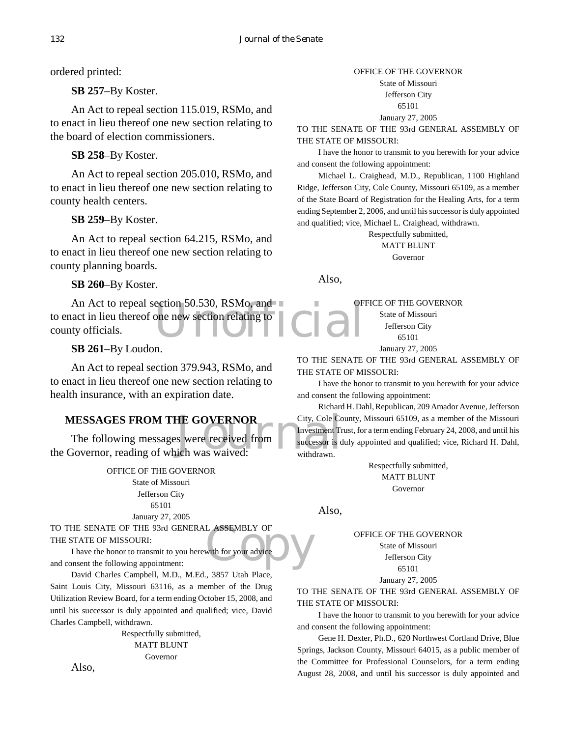ordered printed:

**SB 257**–By Koster.

An Act to repeal section 115.019, RSMo, and to enact in lieu thereof one new section relating to the board of election commissioners.

**SB 258**–By Koster.

An Act to repeal section 205.010, RSMo, and to enact in lieu thereof one new section relating to county health centers.

**SB 259**–By Koster.

An Act to repeal section 64.215, RSMo, and to enact in lieu thereof one new section relating to county planning boards.

**SB 260**–By Koster.

ection 50.530, RSMo, and<br>one new section relating to<br> $\prod$ An Act to repeal section 50.530, RSMo, and to enact in lieu thereof one new section relating to county officials.

**SB 261**–By Loudon.

An Act to repeal section 379.943, RSMo, and to enact in lieu thereof one new section relating to health insurance, with an expiration date.

#### **MESSAGES FROM THE GOVERNOR**

**HE GOVERNOR** City, Cole Co Server Cole Contract City, Cole Co Server Cole Contract City, Cole Co Server Cole Contract City, Cole Co Server Cole Contract City, Cole Co Server Cole Contract City, Cole Co Server Cole Contrac The following messages were received from the Governor, reading of which was waived:

> OFFICE OF THE GOVERNOR State of Missouri Jefferson City 65101

January 27, 2005

L ASSEMBLY OF TO THE SENATE OF THE 93rd GENERAL ASSEMBLY OF THE STATE OF MISSOURI:

I have the honor to transmit to you herewith for your advice and consent the following appointment:

David Charles Campbell, M.D., M.Ed., 3857 Utah Place, Saint Louis City, Missouri 63116, as a member of the Drug Utilization Review Board, for a term ending October 15, 2008, and until his successor is duly appointed and qualified; vice, David Charles Campbell, withdrawn.

> Respectfully submitted, MATT BLUNT Governor

Also,

#### OFFICE OF THE GOVERNOR

State of Missouri Jefferson City

65101

January 27, 2005

TO THE SENATE OF THE 93rd GENERAL ASSEMBLY OF THE STATE OF MISSOURI:

I have the honor to transmit to you herewith for your advice and consent the following appointment:

Michael L. Craighead, M.D., Republican, 1100 Highland Ridge, Jefferson City, Cole County, Missouri 65109, as a member of the State Board of Registration for the Healing Arts, for a term ending September 2, 2006, and until his successor is duly appointed and qualified; vice, Michael L. Craighead, withdrawn.

Respectfully submitted, MATT BLUNT Governor

Also,

OFFICE OF THE GOVERNOR

State of Missouri Jefferson City 65101

January 27, 2005

TO THE SENATE OF THE 93rd GENERAL ASSEMBLY OF THE STATE OF MISSOURI:

I have the honor to transmit to you herewith for your advice and consent the following appointment:

Richard H. Dahl, Republican, 209 Amador Avenue, Jefferson City, Cole County, Missouri 65109, as a member of the Missouri Investment Trust, for a term ending February 24, 2008, and until his successor is duly appointed and qualified; vice, Richard H. Dahl, withdrawn.

> Respectfully submitted, MATT BLUNT Governor

Also,

OFFICE OF THE GOVERNOR State of Missouri Jefferson City 65101

January 27, 2005

TO THE SENATE OF THE 93rd GENERAL ASSEMBLY OF THE STATE OF MISSOURI:

I have the honor to transmit to you herewith for your advice and consent the following appointment:

Gene H. Dexter, Ph.D., 620 Northwest Cortland Drive, Blue Springs, Jackson County, Missouri 64015, as a public member of the Committee for Professional Counselors, for a term ending August 28, 2008, and until his successor is duly appointed and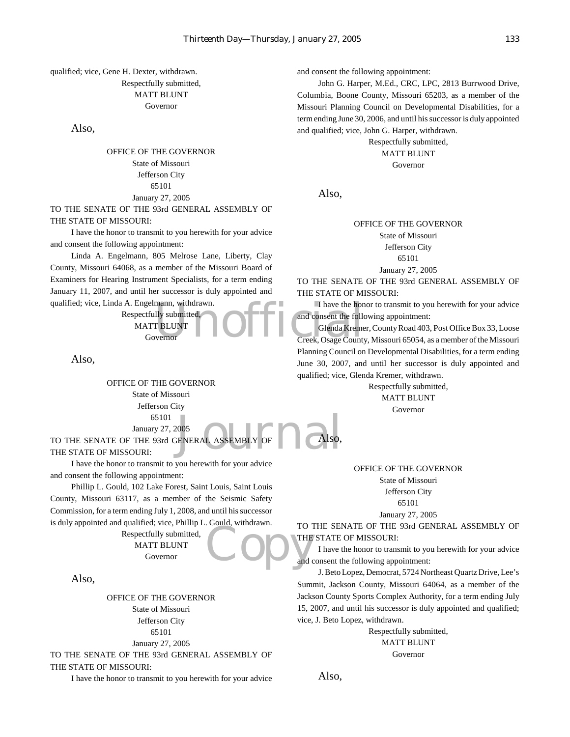#### qualified; vice, Gene H. Dexter, withdrawn. Respectfully submitted, MATT BLUNT Governor

#### Also,

#### OFFICE OF THE GOVERNOR State of Missouri Jefferson City 65101 January 27, 2005

TO THE SENATE OF THE 93rd GENERAL ASSEMBLY OF THE STATE OF MISSOURI:

I have the honor to transmit to you herewith for your advice and consent the following appointment:

Linda A. Engelmann, 805 Melrose Lane, Liberty, Clay County, Missouri 64068, as a member of the Missouri Board of Examiners for Hearing Instrument Specialists, for a term ending January 11, 2007, and until her successor is duly appointed and qualified; vice, Linda A. Engelmann, withdrawn.

> Respectfully submitted, MATT BLUNT Governor

Also,

2005<br>ENERAL ASSEMBLY OF Also, OFFICE OF THE GOVERNOR State of Missouri Jefferson City 65101 January 27, 2005

TO THE SENATE OF THE 93rd GENERAL ASSEMBLY OF THE STATE OF MISSOURI:

I have the honor to transmit to you herewith for your advice and consent the following appointment:

Phillip L. Gould, 102 Lake Forest, Saint Louis, Saint Louis County, Missouri 63117, as a member of the Seismic Safety Commission, for a term ending July 1, 2008, and until his successor is duly appointed and qualified; vice, Phillip L. Gould, withdrawn.

> Respectfully submitted, MATT BLUNT Governor

Also,

OFFICE OF THE GOVERNOR State of Missouri Jefferson City 65101 January 27, 2005

TO THE SENATE OF THE 93rd GENERAL ASSEMBLY OF THE STATE OF MISSOURI:

I have the honor to transmit to you herewith for your advice

and consent the following appointment:

John G. Harper, M.Ed., CRC, LPC, 2813 Burrwood Drive, Columbia, Boone County, Missouri 65203, as a member of the Missouri Planning Council on Developmental Disabilities, for a term ending June 30, 2006, and until his successor is duly appointed and qualified; vice, John G. Harper, withdrawn.

> Respectfully submitted, MATT BLUNT Governor

Also,

#### OFFICE OF THE GOVERNOR State of Missouri Jefferson City

65101

January 27, 2005

TO THE SENATE OF THE 93rd GENERAL ASSEMBLY OF THE STATE OF MISSOURI:

I have the honor to transmit to you herewith for your advice and consent the following appointment:

mann, withdrawn.<br>
I have the hon<br>
I RELUNT Glenda Kreme<br>
Vernor Creek, Osage County Glenda Kremer, County Road 403, Post Office Box 33, Loose Creek, Osage County, Missouri 65054, as a member of the Missouri Planning Council on Developmental Disabilities, for a term ending June 30, 2007, and until her successor is duly appointed and qualified; vice, Glenda Kremer, withdrawn.

Respectfully submitted,

MATT BLUNT Governor

OFFICE OF THE GOVERNOR

State of Missouri Jefferson City 65101

January 27, 2005

Copy THE TO THE SENATE OF THE 93rd GENERAL ASSEMBLY OF THE STATE OF MISSOURI:

I have the honor to transmit to you herewith for your advice and consent the following appointment:

J. Beto Lopez, Democrat, 5724 Northeast Quartz Drive, Lee's Summit, Jackson County, Missouri 64064, as a member of the Jackson County Sports Complex Authority, for a term ending July 15, 2007, and until his successor is duly appointed and qualified; vice, J. Beto Lopez, withdrawn.

> Respectfully submitted, MATT BLUNT Governor

Also,

Also,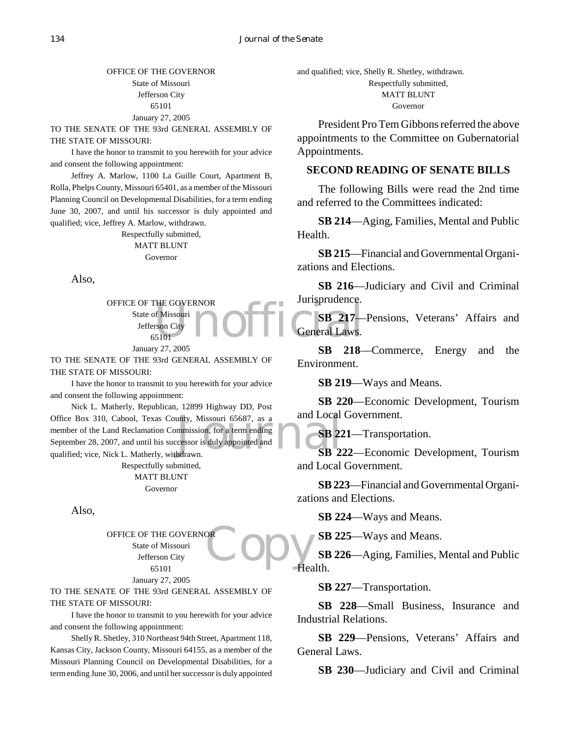#### OFFICE OF THE GOVERNOR State of Missouri Jefferson City 65101 January 27, 2005

TO THE SENATE OF THE 93rd GENERAL ASSEMBLY OF THE STATE OF MISSOURI:

I have the honor to transmit to you herewith for your advice and consent the following appointment:

Jeffrey A. Marlow, 1100 La Guille Court, Apartment B, Rolla, Phelps County, Missouri 65401, as a member of the Missouri Planning Council on Developmental Disabilities, for a term ending June 30, 2007, and until his successor is duly appointed and qualified; vice, Jeffrey A. Marlow, withdrawn.

> Respectfully submitted, MATT BLUNT Governor

Also,

THE GOVERNOR<br>
ISSOCITY TO CHANGE THE CONFIDENT CONTRACTOR CHANGE OFFICE OF THE GOVERNOR State of Missouri Jefferson City 65101

January 27, 2005

TO THE SENATE OF THE 93rd GENERAL ASSEMBLY OF THE STATE OF MISSOURI:

I have the honor to transmit to you herewith for your advice and consent the following appointment:

unty, Missouri 65687, as a and Local<br>mmission, for a term ending<br>cessor is duly appointed and SB 22<br>hdrawn. Nick L. Matherly, Republican, 12899 Highway DD, Post Office Box 310, Cabool, Texas County, Missouri 65687, as a member of the Land Reclamation Commission, for a term ending September 28, 2007, and until his successor is duly appointed and qualified; vice, Nick L. Matherly, withdrawn.

Respectfully submitted,

MATT BLUNT Governor

Also,

**Copy** OFFICE OF THE GOVERNOR State of Missouri Jefferson City 65101 January 27, 2005

TO THE SENATE OF THE 93rd GENERAL ASSEMBLY OF THE STATE OF MISSOURI:

I have the honor to transmit to you herewith for your advice and consent the following appointment:

Shelly R. Shetley, 310 Northeast 94th Street, Apartment 118, Kansas City, Jackson County, Missouri 64155, as a member of the Missouri Planning Council on Developmental Disabilities, for a term ending June 30, 2006, and until her successor is duly appointed

and qualified; vice, Shelly R. Shetley, withdrawn. Respectfully submitted, MATT BLUNT Governor

President Pro Tem Gibbons referred the above appointments to the Committee on Gubernatorial Appointments.

#### **SECOND READING OF SENATE BILLS**

The following Bills were read the 2nd time and referred to the Committees indicated:

**SB 214**—Aging, Families, Mental and Public Health.

**SB 215**—Financial and Governmental Organizations and Elections.

**SB 216**—Judiciary and Civil and Criminal Jurisprudence.

**SB 217**—Pensions, Veterans' Affairs and General Laws.

**SB 218**—Commerce, Energy and the Environment.

**SB 219**—Ways and Means.

**SB 220**—Economic Development, Tourism and Local Government.

**SB 221**—Transportation.

**SB 222**—Economic Development, Tourism and Local Government.

**SB 223**—Financial and Governmental Organizations and Elections.

**SB 224**—Ways and Means.

**SB 225**—Ways and Means.

**SB 226**—Aging, Families, Mental and Public Health.

**SB 227**—Transportation.

**SB 228**—Small Business, Insurance and Industrial Relations.

**SB 229**—Pensions, Veterans' Affairs and General Laws.

**SB 230**—Judiciary and Civil and Criminal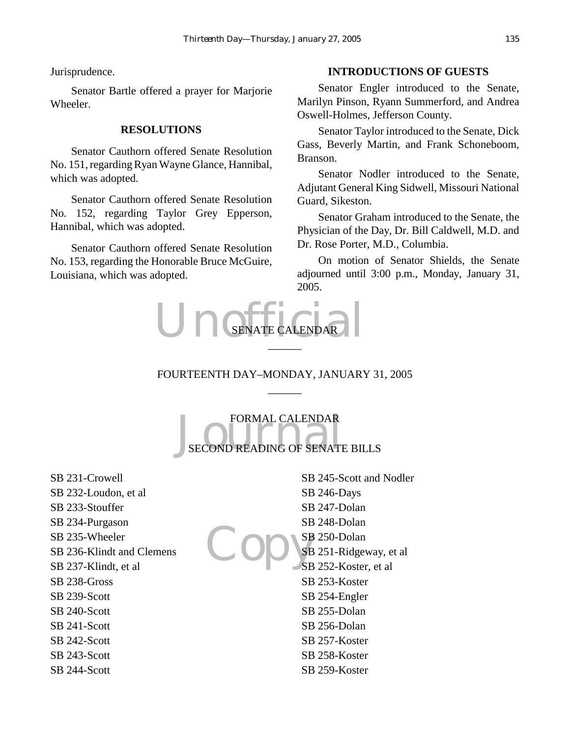Jurisprudence.

Senator Bartle offered a prayer for Marjorie Wheeler.

#### **RESOLUTIONS**

Senator Cauthorn offered Senate Resolution No. 151, regarding Ryan Wayne Glance, Hannibal, which was adopted.

Senator Cauthorn offered Senate Resolution No. 152, regarding Taylor Grey Epperson, Hannibal, which was adopted.

Senator Cauthorn offered Senate Resolution No. 153, regarding the Honorable Bruce McGuire, Louisiana, which was adopted.

#### **INTRODUCTIONS OF GUESTS**

Senator Engler introduced to the Senate, Marilyn Pinson, Ryann Summerford, and Andrea Oswell-Holmes, Jefferson County.

Senator Taylor introduced to the Senate, Dick Gass, Beverly Martin, and Frank Schoneboom, Branson.

Senator Nodler introduced to the Senate, Adjutant General King Sidwell, Missouri National Guard, Sikeston.

Senator Graham introduced to the Senate, the Physician of the Day, Dr. Bill Caldwell, M.D. and Dr. Rose Porter, M.D., Columbia.

On motion of Senator Shields, the Senate adjourned until 3:00 p.m., Monday, January 31, 2005.



### FOURTEENTH DAY–MONDAY, JANUARY 31, 2005  $\overline{\phantom{a}}$

FORMAL CALENDAR<br>SECOND READING OF SENATE BILLS FORMAL CALENDAR

SB 231-Crowell SB 232-Loudon, et al SB 233-Stouffer SB 234-Purgason SB 235-Wheeler SB 236-Klindt and Clemens SB 237-Klindt, et al SB 238-Gross SB 239-Scott SB 240-Scott SB 241-Scott SB 242-Scott SB 243-Scott SB 244-Scott

Copys SB 245-Scott and Nodler SB 246-Days SB 247-Dolan SB 248-Dolan SB 250-Dolan SB 251-Ridgeway, et al SB 252-Koster, et al SB 253-Koster SB 254-Engler SB 255-Dolan SB 256-Dolan SB 257-Koster SB 258-Koster SB 259-Koster